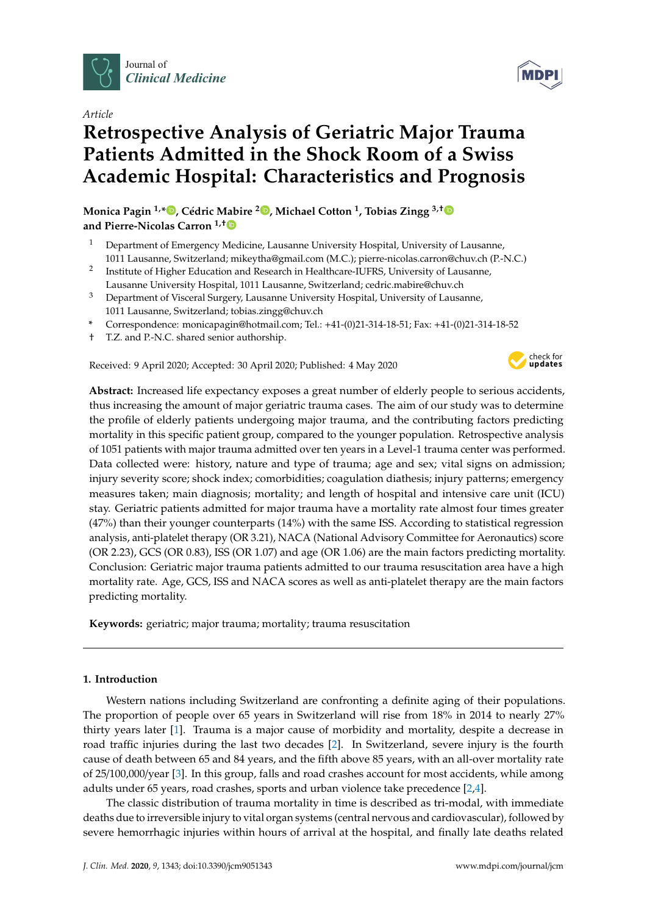

*Article*

# **Retrospective Analysis of Geriatric Major Trauma Patients Admitted in the Shock Room of a Swiss Academic Hospital: Characteristics and Prognosis**

**Monica Pagin 1,\* [,](https://orcid.org/0000-0002-1305-293X) Cédric Mabire [2](https://orcid.org/0000-0003-2666-8300) , Michael Cotton <sup>1</sup> , Tobias Zingg 3,**[†](https://orcid.org/0000-0003-0905-2299) **and Pierre-Nicolas Carron 1,**[†](https://orcid.org/0000-0001-6362-1275)

- <sup>1</sup> Department of Emergency Medicine, Lausanne University Hospital, University of Lausanne, 1011 Lausanne, Switzerland; mikeytha@gmail.com (M.C.); pierre-nicolas.carron@chuv.ch (P.-N.C.)
- 2 Institute of Higher Education and Research in Healthcare-IUFRS, University of Lausanne, Lausanne University Hospital, 1011 Lausanne, Switzerland; cedric.mabire@chuv.ch
- <sup>3</sup> Department of Visceral Surgery, Lausanne University Hospital, University of Lausanne, 1011 Lausanne, Switzerland; tobias.zingg@chuv.ch
- **\*** Correspondence: monicapagin@hotmail.com; Tel.: +41-(0)21-314-18-51; Fax: +41-(0)21-314-18-52
- † T.Z. and P.-N.C. shared senior authorship.

Received: 9 April 2020; Accepted: 30 April 2020; Published: 4 May 2020



**Abstract:** Increased life expectancy exposes a great number of elderly people to serious accidents, thus increasing the amount of major geriatric trauma cases. The aim of our study was to determine the profile of elderly patients undergoing major trauma, and the contributing factors predicting mortality in this specific patient group, compared to the younger population. Retrospective analysis of 1051 patients with major trauma admitted over ten years in a Level-1 trauma center was performed. Data collected were: history, nature and type of trauma; age and sex; vital signs on admission; injury severity score; shock index; comorbidities; coagulation diathesis; injury patterns; emergency measures taken; main diagnosis; mortality; and length of hospital and intensive care unit (ICU) stay. Geriatric patients admitted for major trauma have a mortality rate almost four times greater (47%) than their younger counterparts (14%) with the same ISS. According to statistical regression analysis, anti-platelet therapy (OR 3.21), NACA (National Advisory Committee for Aeronautics) score (OR 2.23), GCS (OR 0.83), ISS (OR 1.07) and age (OR 1.06) are the main factors predicting mortality. Conclusion: Geriatric major trauma patients admitted to our trauma resuscitation area have a high mortality rate. Age, GCS, ISS and NACA scores as well as anti-platelet therapy are the main factors predicting mortality.

**Keywords:** geriatric; major trauma; mortality; trauma resuscitation

# **1. Introduction**

Western nations including Switzerland are confronting a definite aging of their populations. The proportion of people over 65 years in Switzerland will rise from 18% in 2014 to nearly 27% thirty years later [\[1\]](#page-8-0). Trauma is a major cause of morbidity and mortality, despite a decrease in road traffic injuries during the last two decades [\[2\]](#page-8-1). In Switzerland, severe injury is the fourth cause of death between 65 and 84 years, and the fifth above 85 years, with an all-over mortality rate of 25/100,000/year [\[3\]](#page-8-2). In this group, falls and road crashes account for most accidents, while among adults under 65 years, road crashes, sports and urban violence take precedence [\[2,](#page-8-1)[4\]](#page-8-3).

The classic distribution of trauma mortality in time is described as tri-modal, with immediate deaths due to irreversible injury to vital organ systems (central nervous and cardiovascular), followed by severe hemorrhagic injuries within hours of arrival at the hospital, and finally late deaths related

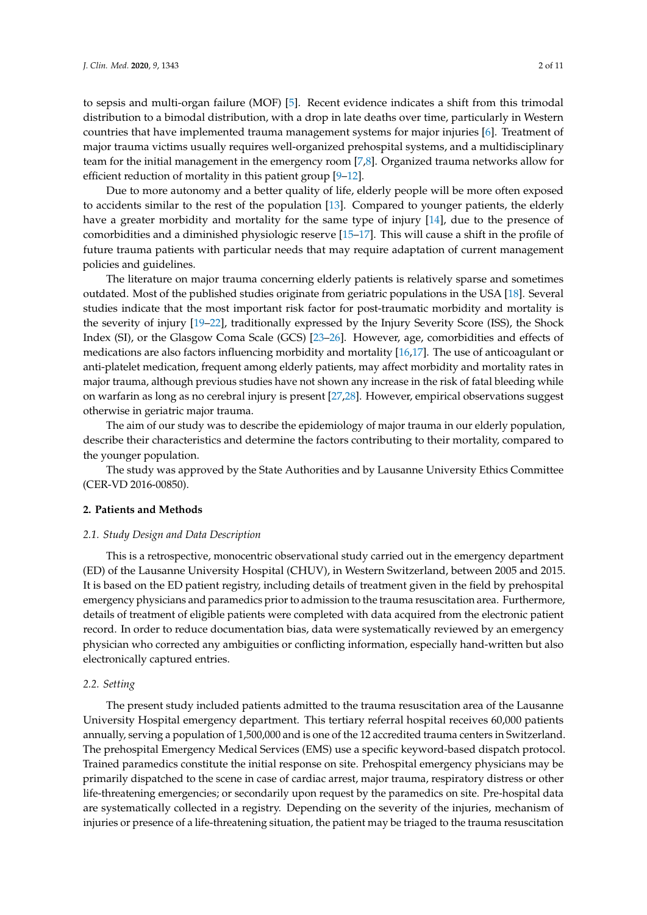to sepsis and multi-organ failure (MOF) [\[5\]](#page-8-4). Recent evidence indicates a shift from this trimodal distribution to a bimodal distribution, with a drop in late deaths over time, particularly in Western countries that have implemented trauma management systems for major injuries [\[6\]](#page-8-5). Treatment of major trauma victims usually requires well-organized prehospital systems, and a multidisciplinary team for the initial management in the emergency room [\[7,](#page-8-6)[8\]](#page-8-7). Organized trauma networks allow for efficient reduction of mortality in this patient group [\[9–](#page-8-8)[12\]](#page-9-0).

Due to more autonomy and a better quality of life, elderly people will be more often exposed to accidents similar to the rest of the population [\[13\]](#page-9-1). Compared to younger patients, the elderly have a greater morbidity and mortality for the same type of injury [\[14\]](#page-9-2), due to the presence of comorbidities and a diminished physiologic reserve [\[15](#page-9-3)[–17\]](#page-9-4). This will cause a shift in the profile of future trauma patients with particular needs that may require adaptation of current management policies and guidelines.

The literature on major trauma concerning elderly patients is relatively sparse and sometimes outdated. Most of the published studies originate from geriatric populations in the USA [\[18\]](#page-9-5). Several studies indicate that the most important risk factor for post-traumatic morbidity and mortality is the severity of injury [\[19](#page-9-6)[–22\]](#page-9-7), traditionally expressed by the Injury Severity Score (ISS), the Shock Index (SI), or the Glasgow Coma Scale (GCS) [\[23](#page-9-8)[–26\]](#page-9-9). However, age, comorbidities and effects of medications are also factors influencing morbidity and mortality [\[16](#page-9-10)[,17\]](#page-9-4). The use of anticoagulant or anti-platelet medication, frequent among elderly patients, may affect morbidity and mortality rates in major trauma, although previous studies have not shown any increase in the risk of fatal bleeding while on warfarin as long as no cerebral injury is present [\[27](#page-9-11)[,28\]](#page-9-12). However, empirical observations suggest otherwise in geriatric major trauma.

The aim of our study was to describe the epidemiology of major trauma in our elderly population, describe their characteristics and determine the factors contributing to their mortality, compared to the younger population.

The study was approved by the State Authorities and by Lausanne University Ethics Committee (CER-VD 2016-00850).

## **2. Patients and Methods**

## *2.1. Study Design and Data Description*

This is a retrospective, monocentric observational study carried out in the emergency department (ED) of the Lausanne University Hospital (CHUV), in Western Switzerland, between 2005 and 2015. It is based on the ED patient registry, including details of treatment given in the field by prehospital emergency physicians and paramedics prior to admission to the trauma resuscitation area. Furthermore, details of treatment of eligible patients were completed with data acquired from the electronic patient record. In order to reduce documentation bias, data were systematically reviewed by an emergency physician who corrected any ambiguities or conflicting information, especially hand-written but also electronically captured entries.

#### *2.2. Setting*

The present study included patients admitted to the trauma resuscitation area of the Lausanne University Hospital emergency department. This tertiary referral hospital receives 60,000 patients annually, serving a population of 1,500,000 and is one of the 12 accredited trauma centers in Switzerland. The prehospital Emergency Medical Services (EMS) use a specific keyword-based dispatch protocol. Trained paramedics constitute the initial response on site. Prehospital emergency physicians may be primarily dispatched to the scene in case of cardiac arrest, major trauma, respiratory distress or other life-threatening emergencies; or secondarily upon request by the paramedics on site. Pre-hospital data are systematically collected in a registry. Depending on the severity of the injuries, mechanism of injuries or presence of a life-threatening situation, the patient may be triaged to the trauma resuscitation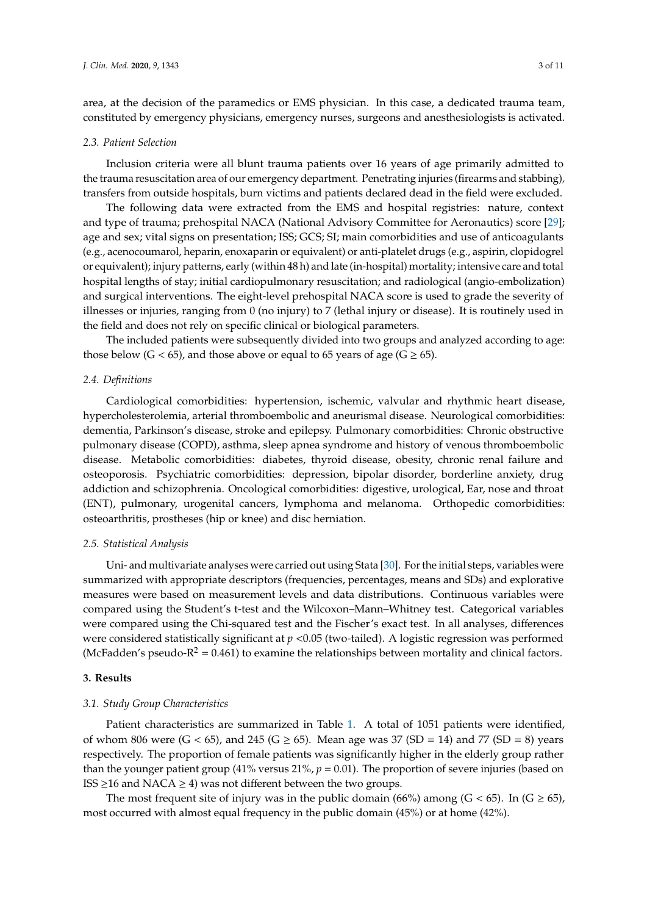area, at the decision of the paramedics or EMS physician. In this case, a dedicated trauma team, constituted by emergency physicians, emergency nurses, surgeons and anesthesiologists is activated.

#### *2.3. Patient Selection*

Inclusion criteria were all blunt trauma patients over 16 years of age primarily admitted to the trauma resuscitation area of our emergency department. Penetrating injuries (firearms and stabbing)*,* transfers from outside hospitals, burn victims and patients declared dead in the field were excluded.

The following data were extracted from the EMS and hospital registries: nature, context and type of trauma; prehospital NACA (National Advisory Committee for Aeronautics) score [\[29\]](#page-9-13); age and sex; vital signs on presentation; ISS; GCS; SI; main comorbidities and use of anticoagulants (e.g., acenocoumarol, heparin, enoxaparin or equivalent) or anti-platelet drugs (e.g., aspirin, clopidogrel or equivalent); injury patterns, early (within 48 h) and late (in-hospital) mortality; intensive care and total hospital lengths of stay; initial cardiopulmonary resuscitation; and radiological (angio-embolization) and surgical interventions. The eight-level prehospital NACA score is used to grade the severity of illnesses or injuries, ranging from 0 (no injury) to 7 (lethal injury or disease). It is routinely used in the field and does not rely on specific clinical or biological parameters.

The included patients were subsequently divided into two groups and analyzed according to age: those below ( $G < 65$ ), and those above or equal to 65 years of age ( $G \ge 65$ ).

#### *2.4. Definitions*

Cardiological comorbidities: hypertension, ischemic, valvular and rhythmic heart disease, hypercholesterolemia, arterial thromboembolic and aneurismal disease. Neurological comorbidities: dementia, Parkinson's disease, stroke and epilepsy. Pulmonary comorbidities: Chronic obstructive pulmonary disease (COPD), asthma, sleep apnea syndrome and history of venous thromboembolic disease. Metabolic comorbidities: diabetes, thyroid disease, obesity, chronic renal failure and osteoporosis. Psychiatric comorbidities: depression, bipolar disorder, borderline anxiety, drug addiction and schizophrenia. Oncological comorbidities: digestive, urological, Ear, nose and throat (ENT), pulmonary, urogenital cancers, lymphoma and melanoma. Orthopedic comorbidities: osteoarthritis, prostheses (hip or knee) and disc herniation.

#### *2.5. Statistical Analysis*

Uni- and multivariate analyses were carried out using Stata [\[30\]](#page-9-14). For the initial steps, variables were summarized with appropriate descriptors (frequencies, percentages, means and SDs) and explorative measures were based on measurement levels and data distributions. Continuous variables were compared using the Student's t-test and the Wilcoxon–Mann–Whitney test. Categorical variables were compared using the Chi-squared test and the Fischer's exact test. In all analyses, differences were considered statistically significant at *p* <0.05 (two-tailed). A logistic regression was performed (McFadden's pseudo- $R^2 = 0.461$ ) to examine the relationships between mortality and clinical factors.

## **3. Results**

#### *3.1. Study Group Characteristics*

Patient characteristics are summarized in Table [1.](#page-3-0) A total of 1051 patients were identified, of whom 806 were  $(G < 65)$ , and 245  $(G \ge 65)$ . Mean age was 37  $(SD = 14)$  and 77  $(SD = 8)$  years respectively. The proportion of female patients was significantly higher in the elderly group rather than the younger patient group (41% versus 21%, *p* = 0.01). The proportion of severe injuries (based on ISS ≥16 and NACA ≥ 4) was not different between the two groups.

The most frequent site of injury was in the public domain (66%) among ( $G < 65$ ). In ( $G \ge 65$ ), most occurred with almost equal frequency in the public domain (45%) or at home (42%).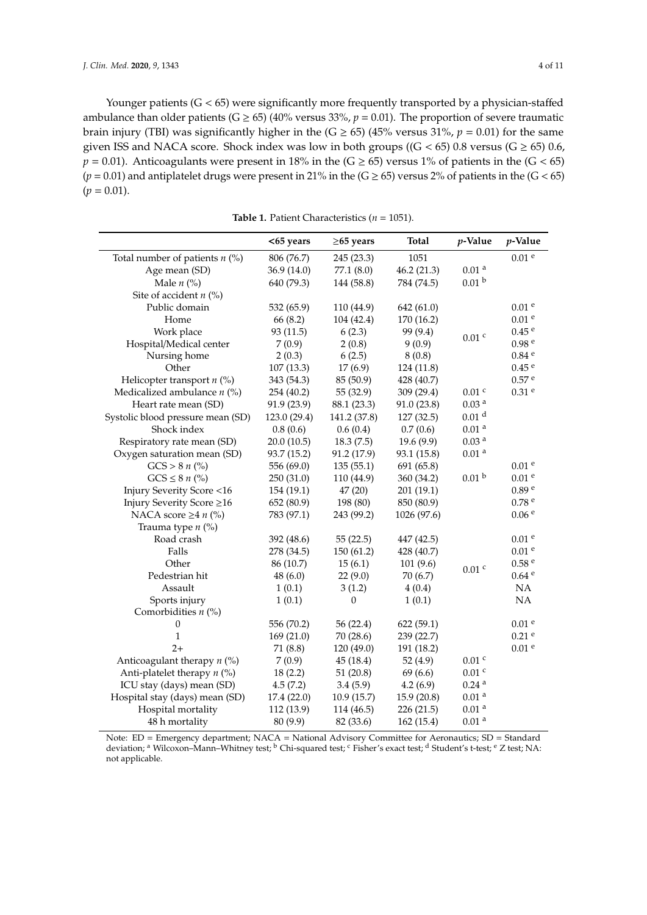Younger patients (G < 65) were significantly more frequently transported by a physician-staffed ambulance than older patients (G  $\geq$  65) (40% versus 33%,  $p = 0.01$ ). The proportion of severe traumatic brain injury (TBI) was significantly higher in the  $(G \ge 65)$  (45% versus 31%,  $p = 0.01$ ) for the same given ISS and NACA score. Shock index was low in both groups (( $G < 65$ ) 0.8 versus ( $G \ge 65$ ) 0.6,  $p = 0.01$ ). Anticoagulants were present in 18% in the (G  $\geq$  65) versus 1% of patients in the (G < 65)  $(p = 0.01)$  and antiplatelet drugs were present in 21% in the  $(G \ge 65)$  versus 2% of patients in the  $(G < 65)$  $(p = 0.01)$ .

**Table 1.** Patient Characteristics (*n* = 1051).

<span id="page-3-0"></span>

|                                   | <65 years    | $\geq$ 65 years | <b>Total</b> | p-Value             | p-Value             |
|-----------------------------------|--------------|-----------------|--------------|---------------------|---------------------|
| Total number of patients $n$ (%)  | 806 (76.7)   | 245 (23.3)      | 1051         |                     | $0.01$ $^{\rm e}$   |
| Age mean (SD)                     | 36.9 (14.0)  | 77.1 (8.0)      | 46.2(21.3)   | 0.01 <sup>a</sup>   |                     |
| Male $n$ (%)                      | 640 (79.3)   | 144 (58.8)      | 784 (74.5)   | 0.01 <sup>b</sup>   |                     |
| Site of accident $n$ (%)          |              |                 |              |                     |                     |
| Public domain                     | 532 (65.9)   | 110 (44.9)      | 642 (61.0)   |                     | 0.01 <sup>e</sup>   |
| Home                              | 66 (8.2)     | 104 (42.4)      | 170 (16.2)   |                     | 0.01 <sup>e</sup>   |
| Work place                        | 93 (11.5)    | 6(2.3)          | 99 (9.4)     |                     | 0.45 <sup>e</sup>   |
| Hospital/Medical center           | 7(0.9)       | 2(0.8)          | 9(0.9)       | $0.01$ $c$          | 0.98 <sup>e</sup>   |
| Nursing home                      | 2(0.3)       | 6(2.5)          | 8(0.8)       |                     | $0.84$ <sup>e</sup> |
| Other                             | 107(13.3)    | 17(6.9)         | 124 (11.8)   |                     | $0.45$ $^{\rm e}$   |
| Helicopter transport $n$ (%)      | 343 (54.3)   | 85 (50.9)       | 428 (40.7)   |                     | 0.57 <sup>e</sup>   |
| Medicalized ambulance $n$ (%)     | 254 (40.2)   | 55 (32.9)       | 309 (29.4)   | $0.01$ $^{\rm c}$   | $0.31$ <sup>e</sup> |
| Heart rate mean (SD)              | 91.9 (23.9)  | 88.1 (23.3)     | 91.0(23.8)   | 0.03 <sup>a</sup>   |                     |
| Systolic blood pressure mean (SD) | 123.0 (29.4) | 141.2 (37.8)    | 127(32.5)    | 0.01 <sup>d</sup>   |                     |
| Shock index                       | 0.8(0.6)     | 0.6(0.4)        | 0.7(0.6)     | 0.01 <sup>a</sup>   |                     |
| Respiratory rate mean (SD)        | 20.0(10.5)   | 18.3(7.5)       | 19.6 (9.9)   | 0.03 <sup>a</sup>   |                     |
| Oxygen saturation mean (SD)       | 93.7 (15.2)  | 91.2 (17.9)     | 93.1 (15.8)  | $0.01$ $^{\rm a}$   |                     |
| $GCS > 8 n$ (%)                   | 556 (69.0)   | 135(55.1)       | 691 (65.8)   |                     | 0.01 <sup>e</sup>   |
| $GCS \leq 8 n$ (%)                | 250 (31.0)   | 110 (44.9)      | 360 (34.2)   | 0.01 <sup>b</sup>   | 0.01 <sup>e</sup>   |
| Injury Severity Score <16         | 154 (19.1)   | 47(20)          | 201 (19.1)   |                     | 0.89 <sup>e</sup>   |
| Injury Severity Score ≥16         | 652 (80.9)   | 198 (80)        | 850 (80.9)   |                     | 0.78 <sup>e</sup>   |
| NACA score $\geq 4 n$ (%)         | 783 (97.1)   | 243 (99.2)      | 1026 (97.6)  |                     | 0.06 <sup>e</sup>   |
| Trauma type $n$ (%)               |              |                 |              |                     |                     |
| Road crash                        | 392 (48.6)   | 55(22.5)        | 447 (42.5)   |                     | 0.01 <sup>e</sup>   |
| Falls                             | 278 (34.5)   | 150 (61.2)      | 428 (40.7)   |                     | 0.01 <sup>e</sup>   |
| Other                             | 86 (10.7)    | 15(6.1)         | 101(9.6)     | $0.01$ $^{\rm c}$   | $0.58$ $^{\rm e}$   |
| Pedestrian hit                    | 48(6.0)      | 22(9.0)         | 70 (6.7)     |                     | $0.64$ <sup>e</sup> |
| Assault                           | 1(0.1)       | 3(1.2)          | 4(0.4)       |                     | NA                  |
| Sports injury                     | 1(0.1)       | $\mathbf{0}$    | 1(0.1)       |                     | NA                  |
| Comorbidities $n$ (%)             |              |                 |              |                     |                     |
| $\boldsymbol{0}$                  | 556 (70.2)   | 56(22.4)        | 622(59.1)    |                     | 0.01 <sup>e</sup>   |
| 1                                 | 169(21.0)    | 70 (28.6)       | 239 (22.7)   |                     | $0.21$ e            |
| $2+$                              | 71 (8.8)     | 120 (49.0)      | 191 (18.2)   |                     | 0.01 <sup>e</sup>   |
| Anticoagulant therapy $n$ (%)     | 7(0.9)       | 45(18.4)        | 52 $(4.9)$   | $0.01$ $^{\rm c}$   |                     |
| Anti-platelet therapy $n$ (%)     | 18(2.2)      | 51(20.8)        | 69 (6.6)     | $0.01$ $c$          |                     |
| ICU stay (days) mean (SD)         | 4.5(7.2)     | 3.4(5.9)        | 4.2(6.9)     | $0.24$ <sup>a</sup> |                     |
| Hospital stay (days) mean (SD)    | 17.4 (22.0)  | 10.9(15.7)      | 15.9(20.8)   | $0.01$ $^{\rm a}$   |                     |
| Hospital mortality                | 112 (13.9)   | 114 (46.5)      | 226 (21.5)   | 0.01 <sup>a</sup>   |                     |
| 48 h mortality                    | 80 (9.9)     | 82 (33.6)       | 162 (15.4)   | 0.01 <sup>a</sup>   |                     |

Note: ED = Emergency department; NACA = National Advisory Committee for Aeronautics; SD = Standard deviation; a Wilcoxon–Mann–Whitney test; b Chi-squared test; c Fisher's exact test; d Student's t-test; e Z test; NA: not applicable.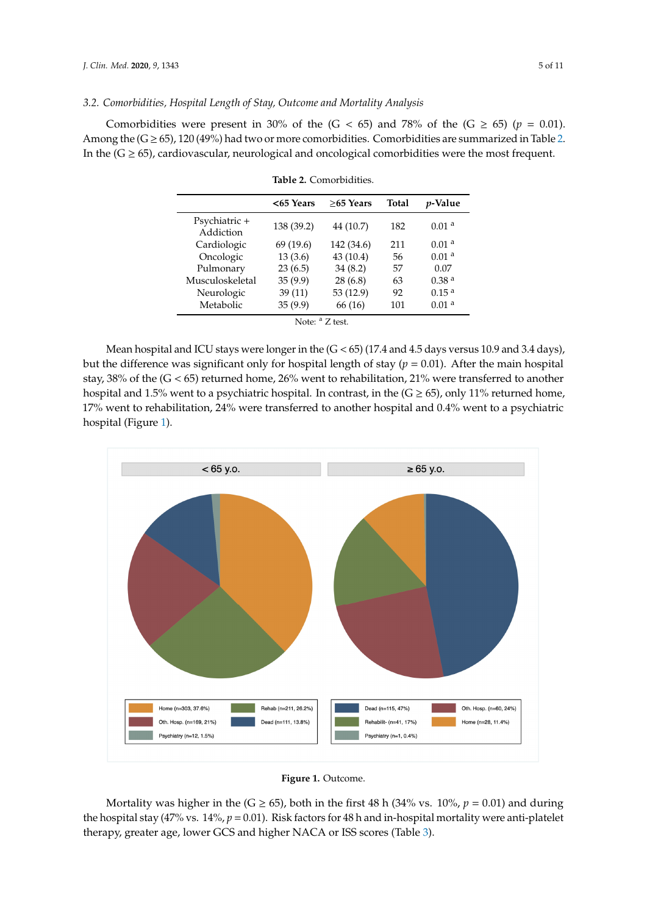## *3.2. Comorbidities, Hospital Length of Stay, Outcome and Mortality Analysis*

Comorbidities were present in 30% of the  $(G < 65)$  and 78% of the  $(G \ge 65)$  ( $p = 0.01$ ). Among the  $(G \ge 65)$ , 120 (49%) had two or more comorbidities. Comorbidities are summarized in Table [2.](#page-4-0) In the  $(G \ge 65)$ , cardiovascular, neurological and oncological comorbidities were the most frequent.

|            | $>65$ Years | <b>Total</b> | <i>p</i> -Value   |
|------------|-------------|--------------|-------------------|
| 138 (39.2) | 44 (10.7)   | 182          | 0.01 <sup>a</sup> |
| 69 (19.6)  | 142 (34.6)  | 211          | 0.01 <sup>a</sup> |
| 13(3.6)    | 43 (10.4)   | 56           | 0.01 <sup>a</sup> |
| 23(6.5)    | 34(8.2)     | 57           | 0.07              |
| 35(9.9)    | 28(6.8)     | 63           | 0.38 <sup>a</sup> |
| 39(11)     | 53 (12.9)   | 92           | 0.15 <sup>a</sup> |
| 35(9.9)    | 66 (16)     | 101          | 0.01 <sup>a</sup> |
|            |             |              |                   |

<span id="page-4-0"></span>

| Table 2. Comorbidities. |
|-------------------------|
|                         |

Mean hospital and ICU stays were longer in the (G < 65) (17.4 and 4.5 days versus 10.9 and 3.4 days), Mean hospital and ICU stays were longer in the (G < 65) (17.4 and 4.5 days versus 10.9 and 3.4 but the difference was significant only for hospital length of stay  $(p = 0.01)$ . After the main hospital  $\sim 20\%$ stay, 38% of the (G < 65) returned home, 26% went to rehabilitation, 21% were transferred to another hospital and 1.5% went to a psychiatric hospital. In contrast, in the  $(G \ge 65)$ , only 11% returned home, 17% went to rehabilitation, 24% were transferred to another hospital and 0.4% went to a psychiatric<br>' hospital (Figure [1\)](#page-4-1).

<span id="page-4-1"></span>



Mortality was higher in the ( $G \ge 65$ ), both in the first 48 h (34% vs. 10%,  $p = 0.01$ ) and during the hospital stay (47% vs.  $14\%, p = 0.01$ ). Risk factors for 48 h and in-hospital mortality were anti-platelet therapy, greater age, lower GCS and higher NACA or ISS scores (Tabl[e 3](#page-5-0)). therapy, greater age, lower GCS and higher NACA or ISS scores (Table 3).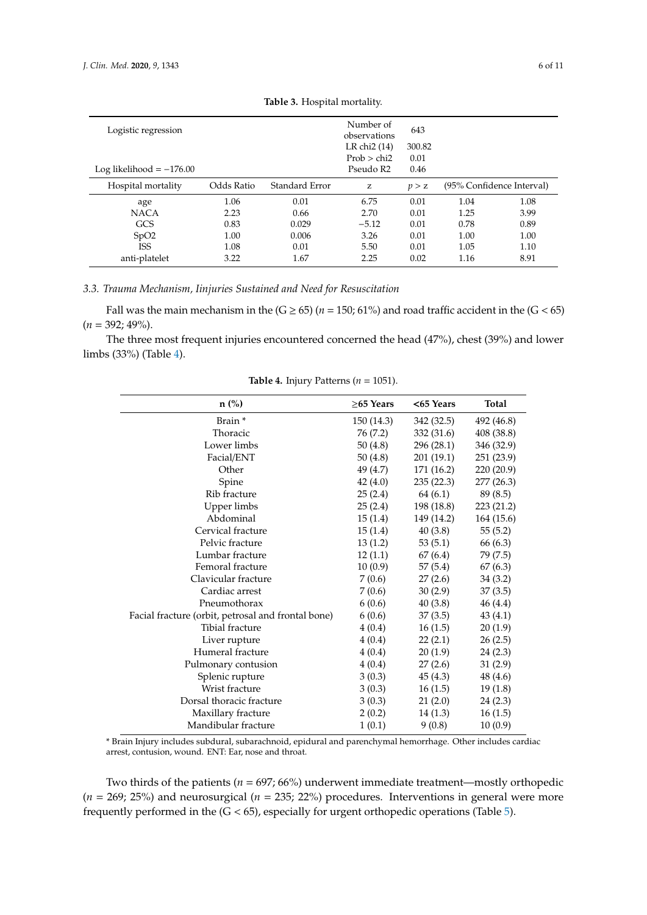<span id="page-5-0"></span>

| Logistic regression        |            |                | Number of<br>observations | 643    |      |                           |
|----------------------------|------------|----------------|---------------------------|--------|------|---------------------------|
|                            |            |                | LR chi <sub>2</sub> (14)  | 300.82 |      |                           |
|                            |            |                | Prob > chi2               | 0.01   |      |                           |
| Log likelihood $= -176.00$ |            |                | Pseudo R2                 | 0.46   |      |                           |
| Hospital mortality         | Odds Ratio | Standard Error | Z                         | p > z  |      | (95% Confidence Interval) |
| age                        | 1.06       | 0.01           | 6.75                      | 0.01   | 1.04 | 1.08                      |
| <b>NACA</b>                | 2.23       | 0.66           | 2.70                      | 0.01   | 1.25 | 3.99                      |
| <b>GCS</b>                 | 0.83       | 0.029          | $-5.12$                   | 0.01   | 0.78 | 0.89                      |
| SpO2                       | 1.00       | 0.006          | 3.26                      | 0.01   | 1.00 | 1.00                      |
| <b>ISS</b>                 | 1.08       | 0.01           | 5.50                      | 0.01   | 1.05 | 1.10                      |
| anti-platelet              | 3.22       | 1.67           | 2.25                      | 0.02   | 1.16 | 8.91                      |

| Table 3. Hospital mortality. |  |
|------------------------------|--|
|------------------------------|--|

## *3.3. Trauma Mechanism, Iinjuries Sustained and Need for Resuscitation*

Fall was the main mechanism in the  $(G \ge 65)$  ( $n = 150$ ; 61%) and road traffic accident in the  $(G < 65)$  $(n = 392; 49\%).$ 

<span id="page-5-1"></span>The three most frequent injuries encountered concerned the head (47%), chest (39%) and lower limbs (33%) (Table [4\)](#page-5-1).

| $n$ (%)                                            | $\geq$ 65 Years | $<$ 65 Years | <b>Total</b> |
|----------------------------------------------------|-----------------|--------------|--------------|
| Brain *                                            | 150 (14.3)      | 342 (32.5)   | 492 (46.8)   |
| Thoracic                                           | 76 (7.2)        | 332 (31.6)   | 408 (38.8)   |
| Lower limbs                                        | 50(4.8)         | 296 (28.1)   | 346 (32.9)   |
| Facial/ENT                                         | 50(4.8)         | 201 (19.1)   | 251 (23.9)   |
| Other                                              | 49 (4.7)        | 171 (16.2)   | 220 (20.9)   |
| Spine                                              | 42(4.0)         | 235(22.3)    | 277 (26.3)   |
| Rib fracture                                       | 25(2.4)         | 64 (6.1)     | 89 (8.5)     |
| Upper limbs                                        | 25(2.4)         | 198 (18.8)   | 223 (21.2)   |
| Abdominal                                          | 15(1.4)         | 149 (14.2)   | 164 (15.6)   |
| Cervical fracture                                  | 15(1.4)         | 40(3.8)      | 55(5.2)      |
| Pelvic fracture                                    | 13(1.2)         | 53(5.1)      | 66 (6.3)     |
| Lumbar fracture                                    | 12(1.1)         | 67(6.4)      | 79 (7.5)     |
| Femoral fracture                                   | 10(0.9)         | 57(5.4)      | 67(6.3)      |
| Clavicular fracture                                | 7(0.6)          | 27(2.6)      | 34(3.2)      |
| Cardiac arrest                                     | 7(0.6)          | 30(2.9)      | 37(3.5)      |
| Pneumothorax                                       | 6(0.6)          | 40(3.8)      | 46 (4.4)     |
| Facial fracture (orbit, petrosal and frontal bone) | 6(0.6)          | 37(3.5)      | 43(4.1)      |
| Tibial fracture                                    | 4(0.4)          | 16(1.5)      | 20(1.9)      |
| Liver rupture                                      | 4(0.4)          | 22(2.1)      | 26(2.5)      |
| Humeral fracture                                   | 4(0.4)          | 20(1.9)      | 24(2.3)      |
| Pulmonary contusion                                | 4(0.4)          | 27(2.6)      | 31(2.9)      |
| Splenic rupture                                    | 3(0.3)          | 45(4.3)      | 48 (4.6)     |
| Wrist fracture                                     | 3(0.3)          | 16(1.5)      | 19(1.8)      |
| Dorsal thoracic fracture                           | 3(0.3)          | 21(2.0)      | 24(2.3)      |
| Maxillary fracture                                 | 2(0.2)          | 14(1.3)      | 16(1.5)      |
| Mandibular fracture                                | 1(0.1)          | 9(0.8)       | 10(0.9)      |

**Table 4.** Injury Patterns ( $n = 1051$ ).

\* Brain Injury includes subdural, subarachnoid, epidural and parenchymal hemorrhage. Other includes cardiac arrest, contusion, wound. ENT: Ear, nose and throat.

Two thirds of the patients ( $n = 697; 66\%$ ) underwent immediate treatment—mostly orthopedic (*n* = 269; 25%) and neurosurgical (*n* = 235; 22%) procedures. Interventions in general were more frequently performed in the (G < 65), especially for urgent orthopedic operations (Table [5\)](#page-6-0).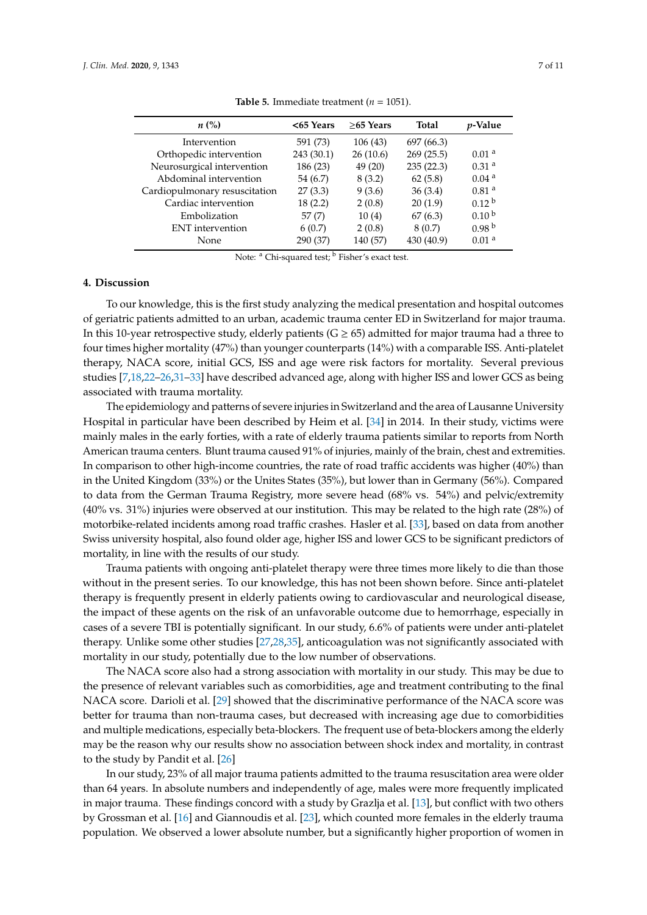<span id="page-6-0"></span>

| $<$ 65 Years | $>65$ Years | <b>Total</b> | <i>p</i> -Value   |
|--------------|-------------|--------------|-------------------|
| 591 (73)     | 106 (43)    | 697 (66.3)   |                   |
| 243 (30.1)   | 26(10.6)    | 269 (25.5)   | 0.01 <sup>a</sup> |
| 186 (23)     | 49 (20)     | 235(22.3)    | 0.31 <sup>a</sup> |
| 54 (6.7)     | 8(3.2)      | 62(5.8)      | 0.04 <sup>a</sup> |
| 27(3.3)      | 9(3.6)      | 36(3.4)      | 0.81 <sup>a</sup> |
| 18(2.2)      | 2(0.8)      | 20(1.9)      | 0.12 <sup>b</sup> |
| 57(7)        | 10(4)       | 67(6.3)      | 0.10 <sup>b</sup> |
| 6(0.7)       | 2(0.8)      | 8(0.7)       | 0.98 <sup>b</sup> |
| 290 (37)     | 140 (57)    | 430 (40.9)   | 0.01 <sup>a</sup> |
|              |             |              |                   |

**Table 5.** Immediate treatment ( $n = 1051$ ).

Note: <sup>a</sup> Chi-squared test; <sup>b</sup> Fisher's exact test.

## **4. Discussion**

To our knowledge, this is the first study analyzing the medical presentation and hospital outcomes of geriatric patients admitted to an urban, academic trauma center ED in Switzerland for major trauma. In this 10-year retrospective study, elderly patients ( $G \ge 65$ ) admitted for major trauma had a three to four times higher mortality (47%) than younger counterparts (14%) with a comparable ISS. Anti-platelet therapy, NACA score, initial GCS, ISS and age were risk factors for mortality. Several previous studies [\[7](#page-8-6)[,18,](#page-9-5)[22–](#page-9-7)[26](#page-9-9)[,31–](#page-9-15)[33\]](#page-9-16) have described advanced age, along with higher ISS and lower GCS as being associated with trauma mortality.

The epidemiology and patterns of severe injuries in Switzerland and the area of Lausanne University Hospital in particular have been described by Heim et al. [\[34\]](#page-9-17) in 2014. In their study, victims were mainly males in the early forties, with a rate of elderly trauma patients similar to reports from North American trauma centers. Blunt trauma caused 91% of injuries, mainly of the brain, chest and extremities. In comparison to other high-income countries, the rate of road traffic accidents was higher (40%) than in the United Kingdom (33%) or the Unites States (35%), but lower than in Germany (56%). Compared to data from the German Trauma Registry, more severe head (68% vs. 54%) and pelvic/extremity (40% vs. 31%) injuries were observed at our institution. This may be related to the high rate (28%) of motorbike-related incidents among road traffic crashes. Hasler et al. [\[33\]](#page-9-16), based on data from another Swiss university hospital, also found older age, higher ISS and lower GCS to be significant predictors of mortality, in line with the results of our study.

Trauma patients with ongoing anti-platelet therapy were three times more likely to die than those without in the present series. To our knowledge, this has not been shown before. Since anti-platelet therapy is frequently present in elderly patients owing to cardiovascular and neurological disease, the impact of these agents on the risk of an unfavorable outcome due to hemorrhage, especially in cases of a severe TBI is potentially significant. In our study, 6.6% of patients were under anti-platelet therapy. Unlike some other studies [\[27](#page-9-11)[,28](#page-9-12)[,35\]](#page-10-0), anticoagulation was not significantly associated with mortality in our study, potentially due to the low number of observations.

The NACA score also had a strong association with mortality in our study. This may be due to the presence of relevant variables such as comorbidities, age and treatment contributing to the final NACA score. Darioli et al. [\[29\]](#page-9-13) showed that the discriminative performance of the NACA score was better for trauma than non-trauma cases, but decreased with increasing age due to comorbidities and multiple medications, especially beta-blockers. The frequent use of beta-blockers among the elderly may be the reason why our results show no association between shock index and mortality, in contrast to the study by Pandit et al. [\[26\]](#page-9-9)

In our study, 23% of all major trauma patients admitted to the trauma resuscitation area were older than 64 years. In absolute numbers and independently of age, males were more frequently implicated in major trauma. These findings concord with a study by Grazlja et al. [\[13\]](#page-9-1), but conflict with two others by Grossman et al. [\[16\]](#page-9-10) and Giannoudis et al. [\[23\]](#page-9-8), which counted more females in the elderly trauma population. We observed a lower absolute number, but a significantly higher proportion of women in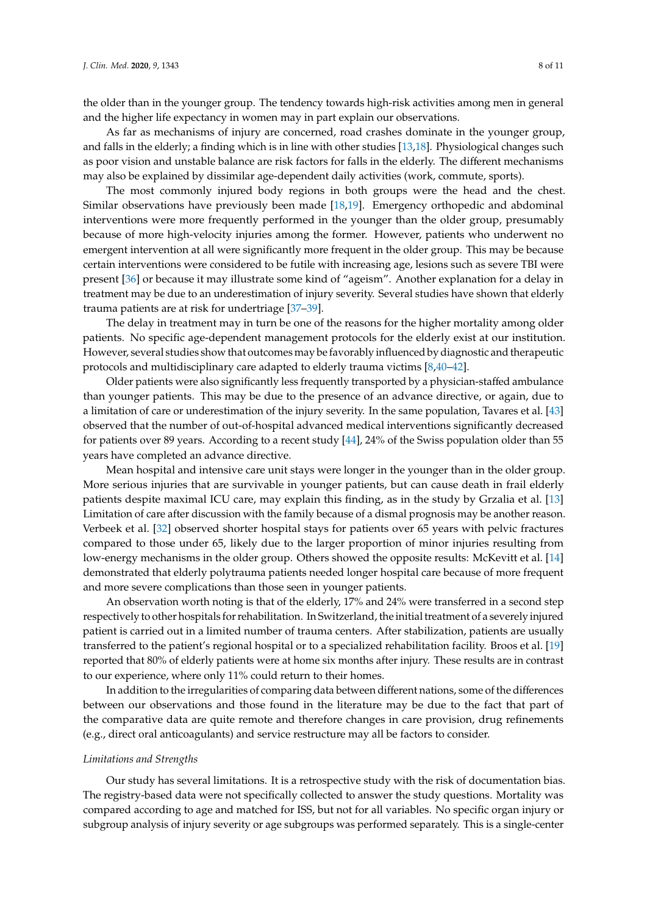the older than in the younger group. The tendency towards high-risk activities among men in general and the higher life expectancy in women may in part explain our observations.

As far as mechanisms of injury are concerned, road crashes dominate in the younger group, and falls in the elderly; a finding which is in line with other studies [\[13](#page-9-1)[,18\]](#page-9-5). Physiological changes such as poor vision and unstable balance are risk factors for falls in the elderly. The different mechanisms may also be explained by dissimilar age-dependent daily activities (work, commute, sports).

The most commonly injured body regions in both groups were the head and the chest. Similar observations have previously been made [\[18](#page-9-5)[,19\]](#page-9-6). Emergency orthopedic and abdominal interventions were more frequently performed in the younger than the older group, presumably because of more high-velocity injuries among the former. However, patients who underwent no emergent intervention at all were significantly more frequent in the older group. This may be because certain interventions were considered to be futile with increasing age, lesions such as severe TBI were present [\[36\]](#page-10-1) or because it may illustrate some kind of "ageism". Another explanation for a delay in treatment may be due to an underestimation of injury severity. Several studies have shown that elderly trauma patients are at risk for undertriage [\[37](#page-10-2)[–39\]](#page-10-3).

The delay in treatment may in turn be one of the reasons for the higher mortality among older patients. No specific age-dependent management protocols for the elderly exist at our institution. However, several studies show that outcomes may be favorably influenced by diagnostic and therapeutic protocols and multidisciplinary care adapted to elderly trauma victims [\[8](#page-8-7)[,40](#page-10-4)[–42\]](#page-10-5).

Older patients were also significantly less frequently transported by a physician-staffed ambulance than younger patients. This may be due to the presence of an advance directive, or again, due to a limitation of care or underestimation of the injury severity. In the same population, Tavares et al. [\[43\]](#page-10-6) observed that the number of out-of-hospital advanced medical interventions significantly decreased for patients over 89 years. According to a recent study [\[44\]](#page-10-7), 24% of the Swiss population older than 55 years have completed an advance directive.

Mean hospital and intensive care unit stays were longer in the younger than in the older group. More serious injuries that are survivable in younger patients, but can cause death in frail elderly patients despite maximal ICU care, may explain this finding, as in the study by Grzalia et al. [\[13\]](#page-9-1) Limitation of care after discussion with the family because of a dismal prognosis may be another reason. Verbeek et al. [\[32\]](#page-9-18) observed shorter hospital stays for patients over 65 years with pelvic fractures compared to those under 65, likely due to the larger proportion of minor injuries resulting from low-energy mechanisms in the older group. Others showed the opposite results: McKevitt et al. [\[14\]](#page-9-2) demonstrated that elderly polytrauma patients needed longer hospital care because of more frequent and more severe complications than those seen in younger patients.

An observation worth noting is that of the elderly, 17% and 24% were transferred in a second step respectively to other hospitals for rehabilitation. In Switzerland, the initial treatment of a severely injured patient is carried out in a limited number of trauma centers. After stabilization, patients are usually transferred to the patient's regional hospital or to a specialized rehabilitation facility. Broos et al. [\[19\]](#page-9-6) reported that 80% of elderly patients were at home six months after injury. These results are in contrast to our experience, where only 11% could return to their homes.

In addition to the irregularities of comparing data between different nations, some of the differences between our observations and those found in the literature may be due to the fact that part of the comparative data are quite remote and therefore changes in care provision, drug refinements (e.g., direct oral anticoagulants) and service restructure may all be factors to consider.

#### *Limitations and Strengths*

Our study has several limitations. It is a retrospective study with the risk of documentation bias. The registry-based data were not specifically collected to answer the study questions. Mortality was compared according to age and matched for ISS, but not for all variables. No specific organ injury or subgroup analysis of injury severity or age subgroups was performed separately. This is a single-center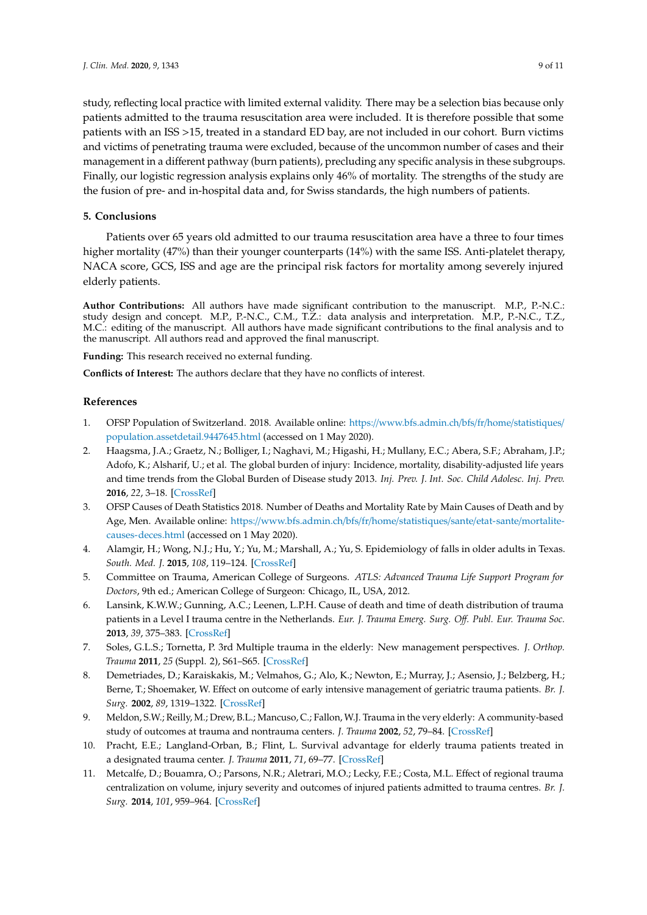study, reflecting local practice with limited external validity. There may be a selection bias because only patients admitted to the trauma resuscitation area were included. It is therefore possible that some patients with an ISS >15, treated in a standard ED bay, are not included in our cohort. Burn victims and victims of penetrating trauma were excluded, because of the uncommon number of cases and their management in a different pathway (burn patients), precluding any specific analysis in these subgroups. Finally, our logistic regression analysis explains only 46% of mortality. The strengths of the study are the fusion of pre- and in-hospital data and, for Swiss standards, the high numbers of patients.

## **5. Conclusions**

Patients over 65 years old admitted to our trauma resuscitation area have a three to four times higher mortality (47%) than their younger counterparts (14%) with the same ISS. Anti-platelet therapy, NACA score, GCS, ISS and age are the principal risk factors for mortality among severely injured elderly patients.

**Author Contributions:** All authors have made significant contribution to the manuscript. M.P., P.-N.C.: study design and concept. M.P., P.-N.C., C.M., T.Z.: data analysis and interpretation. M.P., P.-N.C., T.Z., M.C.: editing of the manuscript. All authors have made significant contributions to the final analysis and to the manuscript. All authors read and approved the final manuscript.

**Funding:** This research received no external funding.

**Conflicts of Interest:** The authors declare that they have no conflicts of interest.

## **References**

- <span id="page-8-0"></span>1. OFSP Population of Switzerland. 2018. Available online: https://[www.bfs.admin.ch](https://www.bfs.admin.ch/bfs/fr/home/statistiques/population.assetdetail.9447645.html)/bfs/fr/home/statistiques/ [population.assetdetail.9447645.html](https://www.bfs.admin.ch/bfs/fr/home/statistiques/population.assetdetail.9447645.html) (accessed on 1 May 2020).
- <span id="page-8-1"></span>2. Haagsma, J.A.; Graetz, N.; Bolliger, I.; Naghavi, M.; Higashi, H.; Mullany, E.C.; Abera, S.F.; Abraham, J.P.; Adofo, K.; Alsharif, U.; et al. The global burden of injury: Incidence, mortality, disability-adjusted life years and time trends from the Global Burden of Disease study 2013. *Inj. Prev. J. Int. Soc. Child Adolesc. Inj. Prev.* **2016**, *22*, 3–18. [\[CrossRef\]](http://dx.doi.org/10.1136/injuryprev-2015-041616)
- <span id="page-8-2"></span>3. OFSP Causes of Death Statistics 2018. Number of Deaths and Mortality Rate by Main Causes of Death and by Age, Men. Available online: https://[www.bfs.admin.ch](https://www.bfs.admin.ch/bfs/fr/home/statistiques/sante/etat-sante/mortalite-causes-deces.html)/bfs/fr/home/statistiques/sante/etat-sante/mortalite[causes-deces.html](https://www.bfs.admin.ch/bfs/fr/home/statistiques/sante/etat-sante/mortalite-causes-deces.html) (accessed on 1 May 2020).
- <span id="page-8-3"></span>4. Alamgir, H.; Wong, N.J.; Hu, Y.; Yu, M.; Marshall, A.; Yu, S. Epidemiology of falls in older adults in Texas. *South. Med. J.* **2015**, *108*, 119–124. [\[CrossRef\]](http://dx.doi.org/10.14423/SMJ.0000000000000237)
- <span id="page-8-4"></span>5. Committee on Trauma, American College of Surgeons. *ATLS: Advanced Trauma Life Support Program for Doctors*, 9th ed.; American College of Surgeon: Chicago, IL, USA, 2012.
- <span id="page-8-5"></span>6. Lansink, K.W.W.; Gunning, A.C.; Leenen, L.P.H. Cause of death and time of death distribution of trauma patients in a Level I trauma centre in the Netherlands. *Eur. J. Trauma Emerg. Surg. O*ff*. Publ. Eur. Trauma Soc.* **2013**, *39*, 375–383. [\[CrossRef\]](http://dx.doi.org/10.1007/s00068-013-0278-2)
- <span id="page-8-6"></span>7. Soles, G.L.S.; Tornetta, P. 3rd Multiple trauma in the elderly: New management perspectives. *J. Orthop. Trauma* **2011**, *25* (Suppl. 2), S61–S65. [\[CrossRef\]](http://dx.doi.org/10.1097/BOT.0b013e31821b8a3b)
- <span id="page-8-7"></span>8. Demetriades, D.; Karaiskakis, M.; Velmahos, G.; Alo, K.; Newton, E.; Murray, J.; Asensio, J.; Belzberg, H.; Berne, T.; Shoemaker, W. Effect on outcome of early intensive management of geriatric trauma patients. *Br. J. Surg.* **2002**, *89*, 1319–1322. [\[CrossRef\]](http://dx.doi.org/10.1046/j.1365-2168.2002.02210.x)
- <span id="page-8-8"></span>9. Meldon, S.W.; Reilly, M.; Drew, B.L.; Mancuso, C.; Fallon, W.J. Trauma in the very elderly: A community-based study of outcomes at trauma and nontrauma centers. *J. Trauma* **2002**, *52*, 79–84. [\[CrossRef\]](http://dx.doi.org/10.1097/00005373-200201000-00014)
- 10. Pracht, E.E.; Langland-Orban, B.; Flint, L. Survival advantage for elderly trauma patients treated in a designated trauma center. *J. Trauma* **2011**, *71*, 69–77. [\[CrossRef\]](http://dx.doi.org/10.1097/TA.0b013e31820e82b7)
- 11. Metcalfe, D.; Bouamra, O.; Parsons, N.R.; Aletrari, M.O.; Lecky, F.E.; Costa, M.L. Effect of regional trauma centralization on volume, injury severity and outcomes of injured patients admitted to trauma centres. *Br. J. Surg.* **2014**, *101*, 959–964. [\[CrossRef\]](http://dx.doi.org/10.1002/bjs.9498)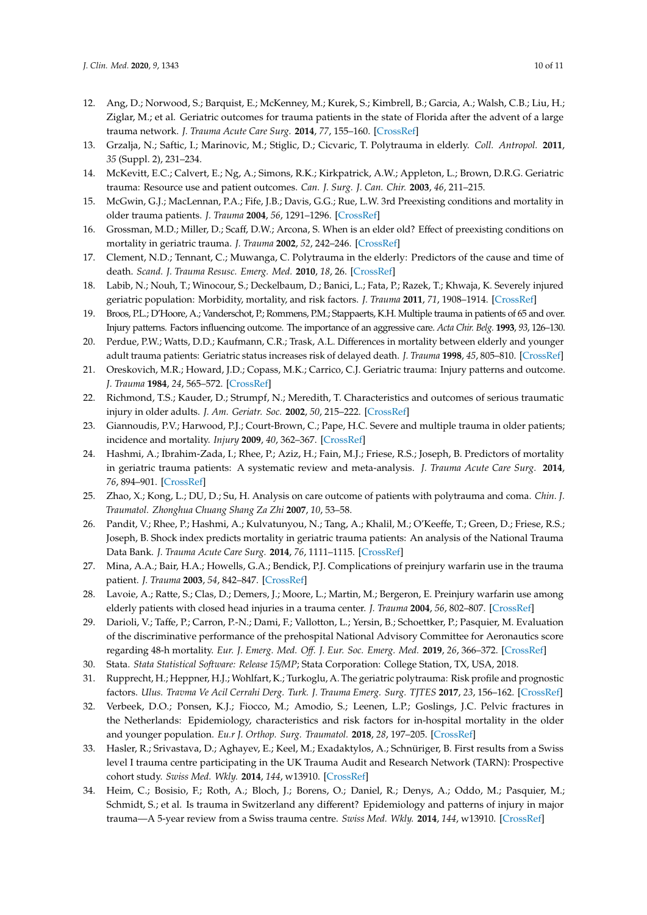- <span id="page-9-0"></span>12. Ang, D.; Norwood, S.; Barquist, E.; McKenney, M.; Kurek, S.; Kimbrell, B.; Garcia, A.; Walsh, C.B.; Liu, H.; Ziglar, M.; et al. Geriatric outcomes for trauma patients in the state of Florida after the advent of a large trauma network. *J. Trauma Acute Care Surg.* **2014**, *77*, 155–160. [\[CrossRef\]](http://dx.doi.org/10.1097/TA.0000000000000272)
- <span id="page-9-1"></span>13. Grzalja, N.; Saftic, I.; Marinovic, M.; Stiglic, D.; Cicvaric, T. Polytrauma in elderly. *Coll. Antropol.* **2011**, *35* (Suppl. 2), 231–234.
- <span id="page-9-2"></span>14. McKevitt, E.C.; Calvert, E.; Ng, A.; Simons, R.K.; Kirkpatrick, A.W.; Appleton, L.; Brown, D.R.G. Geriatric trauma: Resource use and patient outcomes. *Can. J. Surg. J. Can. Chir.* **2003**, *46*, 211–215.
- <span id="page-9-3"></span>15. McGwin, G.J.; MacLennan, P.A.; Fife, J.B.; Davis, G.G.; Rue, L.W. 3rd Preexisting conditions and mortality in older trauma patients. *J. Trauma* **2004**, *56*, 1291–1296. [\[CrossRef\]](http://dx.doi.org/10.1097/01.TA.0000089354.02065.D0)
- <span id="page-9-10"></span>16. Grossman, M.D.; Miller, D.; Scaff, D.W.; Arcona, S. When is an elder old? Effect of preexisting conditions on mortality in geriatric trauma. *J. Trauma* **2002**, *52*, 242–246. [\[CrossRef\]](http://dx.doi.org/10.1097/00005373-200202000-00007)
- <span id="page-9-4"></span>17. Clement, N.D.; Tennant, C.; Muwanga, C. Polytrauma in the elderly: Predictors of the cause and time of death. *Scand. J. Trauma Resusc. Emerg. Med.* **2010**, *18*, 26. [\[CrossRef\]](http://dx.doi.org/10.1186/1757-7241-18-26)
- <span id="page-9-5"></span>18. Labib, N.; Nouh, T.; Winocour, S.; Deckelbaum, D.; Banici, L.; Fata, P.; Razek, T.; Khwaja, K. Severely injured geriatric population: Morbidity, mortality, and risk factors. *J. Trauma* **2011**, *71*, 1908–1914. [\[CrossRef\]](http://dx.doi.org/10.1097/TA.0b013e31820989ed)
- <span id="page-9-6"></span>19. Broos, P.L.; D'Hoore, A.; Vanderschot, P.; Rommens, P.M.; Stappaerts, K.H. Multiple trauma in patients of 65 and over. Injury patterns. Factors influencing outcome. The importance of an aggressive care. *Acta Chir. Belg.* **1993**, *93*, 126–130.
- 20. Perdue, P.W.; Watts, D.D.; Kaufmann, C.R.; Trask, A.L. Differences in mortality between elderly and younger adult trauma patients: Geriatric status increases risk of delayed death. *J. Trauma* **1998**, *45*, 805–810. [\[CrossRef\]](http://dx.doi.org/10.1097/00005373-199810000-00034)
- 21. Oreskovich, M.R.; Howard, J.D.; Copass, M.K.; Carrico, C.J. Geriatric trauma: Injury patterns and outcome. *J. Trauma* **1984**, *24*, 565–572. [\[CrossRef\]](http://dx.doi.org/10.1097/00005373-198407000-00003)
- <span id="page-9-7"></span>22. Richmond, T.S.; Kauder, D.; Strumpf, N.; Meredith, T. Characteristics and outcomes of serious traumatic injury in older adults. *J. Am. Geriatr. Soc.* **2002**, *50*, 215–222. [\[CrossRef\]](http://dx.doi.org/10.1046/j.1532-5415.2002.50051.x)
- <span id="page-9-8"></span>23. Giannoudis, P.V.; Harwood, P.J.; Court-Brown, C.; Pape, H.C. Severe and multiple trauma in older patients; incidence and mortality. *Injury* **2009**, *40*, 362–367. [\[CrossRef\]](http://dx.doi.org/10.1016/j.injury.2008.10.016)
- 24. Hashmi, A.; Ibrahim-Zada, I.; Rhee, P.; Aziz, H.; Fain, M.J.; Friese, R.S.; Joseph, B. Predictors of mortality in geriatric trauma patients: A systematic review and meta-analysis. *J. Trauma Acute Care Surg.* **2014**, *76*, 894–901. [\[CrossRef\]](http://dx.doi.org/10.1097/TA.0b013e3182ab0763)
- 25. Zhao, X.; Kong, L.; DU, D.; Su, H. Analysis on care outcome of patients with polytrauma and coma. *Chin. J. Traumatol. Zhonghua Chuang Shang Za Zhi* **2007**, *10*, 53–58.
- <span id="page-9-9"></span>26. Pandit, V.; Rhee, P.; Hashmi, A.; Kulvatunyou, N.; Tang, A.; Khalil, M.; O'Keeffe, T.; Green, D.; Friese, R.S.; Joseph, B. Shock index predicts mortality in geriatric trauma patients: An analysis of the National Trauma Data Bank. *J. Trauma Acute Care Surg.* **2014**, *76*, 1111–1115. [\[CrossRef\]](http://dx.doi.org/10.1097/TA.0000000000000160)
- <span id="page-9-11"></span>27. Mina, A.A.; Bair, H.A.; Howells, G.A.; Bendick, P.J. Complications of preinjury warfarin use in the trauma patient. *J. Trauma* **2003**, *54*, 842–847. [\[CrossRef\]](http://dx.doi.org/10.1097/01.TA.0000063271.05829.15)
- <span id="page-9-12"></span>28. Lavoie, A.; Ratte, S.; Clas, D.; Demers, J.; Moore, L.; Martin, M.; Bergeron, E. Preinjury warfarin use among elderly patients with closed head injuries in a trauma center. *J. Trauma* **2004**, *56*, 802–807. [\[CrossRef\]](http://dx.doi.org/10.1097/01.TA.0000066183.02177.AF)
- <span id="page-9-13"></span>29. Darioli, V.; Taffe, P.; Carron, P.-N.; Dami, F.; Vallotton, L.; Yersin, B.; Schoettker, P.; Pasquier, M. Evaluation of the discriminative performance of the prehospital National Advisory Committee for Aeronautics score regarding 48-h mortality. *Eur. J. Emerg. Med. O*ff*. J. Eur. Soc. Emerg. Med.* **2019**, *26*, 366–372. [\[CrossRef\]](http://dx.doi.org/10.1097/MEJ.0000000000000578)
- <span id="page-9-15"></span><span id="page-9-14"></span>30. Stata. *Stata Statistical Software: Release 15*/*MP*; Stata Corporation: College Station, TX, USA, 2018.
- 31. Rupprecht, H.; Heppner, H.J.; Wohlfart, K.; Turkoglu, A. The geriatric polytrauma: Risk profile and prognostic factors. *Ulus. Travma Ve Acil Cerrahi Derg. Turk. J. Trauma Emerg. Surg. TJTES* **2017**, *23*, 156–162. [\[CrossRef\]](http://dx.doi.org/10.5505/tjtes.2016.77177)
- <span id="page-9-18"></span>32. Verbeek, D.O.; Ponsen, K.J.; Fiocco, M.; Amodio, S.; Leenen, L.P.; Goslings, J.C. Pelvic fractures in the Netherlands: Epidemiology, characteristics and risk factors for in-hospital mortality in the older and younger population. *Eu.r J. Orthop. Surg. Traumatol.* **2018**, *28*, 197–205. [\[CrossRef\]](http://dx.doi.org/10.1007/s00590-017-2044-3)
- <span id="page-9-16"></span>33. Hasler, R.; Srivastava, D.; Aghayev, E.; Keel, M.; Exadaktylos, A.; Schnüriger, B. First results from a Swiss level I trauma centre participating in the UK Trauma Audit and Research Network (TARN): Prospective cohort study. *Swiss Med. Wkly.* **2014**, *144*, w13910. [\[CrossRef\]](http://dx.doi.org/10.4414/smw.2014.13910)
- <span id="page-9-17"></span>34. Heim, C.; Bosisio, F.; Roth, A.; Bloch, J.; Borens, O.; Daniel, R.; Denys, A.; Oddo, M.; Pasquier, M.; Schmidt, S.; et al. Is trauma in Switzerland any different? Epidemiology and patterns of injury in major trauma—A 5-year review from a Swiss trauma centre. *Swiss Med. Wkly.* **2014**, *144*, w13910. [\[CrossRef\]](http://dx.doi.org/10.4414/smw.2014.13958)